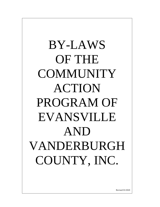BY-LAWS OF THE COMMUNITY ACTION PROGRAM OF EVANSVILLE AND VANDERBURGH COUNTY, INC.

Revised 01/2020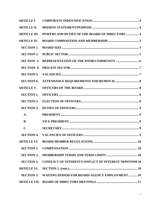| <b>ARTICLE I.</b>   |                                                              |
|---------------------|--------------------------------------------------------------|
| <b>ARTICLE II.</b>  |                                                              |
| <b>ARTICLE III.</b> | POWERS AND DUTIES OF THE BOARD OF DIRECTORS 4                |
| <b>ARTICLE IV.</b>  |                                                              |
| <b>SECTION 1.</b>   |                                                              |
| <b>SECTION 2.</b>   |                                                              |
| <b>SECTION 3.</b>   |                                                              |
| <b>SECTION 4.</b>   |                                                              |
| <b>SECTION 5.</b>   |                                                              |
| <b>SECTION 6.</b>   | <b>ATTENDANCE REQUIREMENTS AND REMOVAL  8</b>                |
| <b>ARTICLE V.</b>   |                                                              |
| <b>SECTION 1.</b>   |                                                              |
| <b>SECTION 2.</b>   |                                                              |
| <b>SECTION 3.</b>   |                                                              |
| A.                  |                                                              |
| <b>B.</b>           |                                                              |
| $\mathbf{C}$ .      |                                                              |
|                     |                                                              |
|                     |                                                              |
|                     |                                                              |
| <b>SECTION 2.</b>   |                                                              |
| <b>SECTION 3.</b>   | <b>CONFLICT OF INTEREST/CONFLICT OF INTEREST NEPOTISM 10</b> |
| <b>ARTICLE VI.</b>  |                                                              |
|                     | SECTION 3. WAITING PERIOD FOR BOARD-AGENCY EMPLOYMENT  10    |
|                     |                                                              |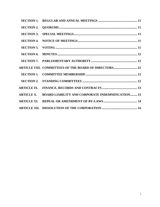<span id="page-2-0"></span>

| <b>SECTION 1.</b>  |                                                         |  |
|--------------------|---------------------------------------------------------|--|
| <b>SECTION 2.</b>  |                                                         |  |
| <b>SECTION 3.</b>  |                                                         |  |
| <b>SECTION 4.</b>  |                                                         |  |
| <b>SECTION 5.</b>  |                                                         |  |
| <b>SECTION 6.</b>  |                                                         |  |
|                    |                                                         |  |
|                    | ARTICLE VIII. COMMITTEES OF THE BOARD OF DIRECTORS 12   |  |
| <b>SECTION 1.</b>  |                                                         |  |
| <b>SECTION 2.</b>  |                                                         |  |
| <b>ARTICLE IX.</b> |                                                         |  |
| <b>ARTICLE X.</b>  | <b>BOARD LIABILITY AND CORPORATE INDEMNIFICATION 13</b> |  |
| <b>ARTICLE XI.</b> |                                                         |  |
|                    |                                                         |  |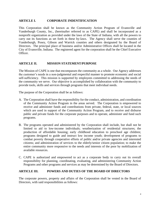## **ARTICLE I. CORPORATE INDENTIFICATION**

This Corporation shall be known as the Community Action Program of Evansville and Vanderburgh County, Inc., (hereinafter referred to as CAPE) and shall be incorporated as a nonprofit organization as provided under the laws of the State of Indiana, with all the powers to carry out its functions as set forth in these by-laws. The Agency shall serve the counties of Vanderburgh, Posey, Gibson and Warrick counties and others designated by the Board of Directors. The principal place of business and/or Administrative Offices shall be located in the City of Evansville, Indiana. The registered agent for the corporation shall be the Chief Executive Officer.

## <span id="page-3-0"></span>**ARTICLE II. MISSION STATEMENT/PURPOSE**

The Mission of CAPE is one that encompasses the community as a whole. Our Agency addresses the customer's needs in a non-judgmental and respectful manner to promote economic and social self-sufficiency. This mission is supported by employees committed to addressing the needs of the community we serve. Our objective is accomplished by collaboration with the community to provide tools, skills and services through programs that meet individual needs.

The purpose of the Corporation shall be as follows:

- A. The Corporation shall have the responsibility for the conduct, administration, and coordination of the Community Action Program in the areas served. The Corporation is empowered to receive and administer funds and contributions from private, federal, state, or local sources which are used in support of the Community Action Program, and to receive and disburse public and private funds for the corporate purposes and to operate, administer and fund such programs.
- B. The programs operated and administered by the Corporation shall include, but shall not be limited to aid to low-income individuals; weatherization of residential structures; the production of affordable housing; early childhood education to preschool age children; programs designed to guide and instruct low income youth; development of programs to combat poverty through cooperative efforts of public and/or private agencies and interested citizens; and administration of services to the elderly/senior citizen population; to make the entire community more responsive to the needs and interests of the poor by mobilization of available resources.
- C. CAPE is authorized and empowered to act as a corporate body to carry out its overall responsibility for planning, coordinating, evaluating, and administering Community Action Programs and other programs and services as may be determined by the Board of Directors.

# <span id="page-3-1"></span>**ARTICLE III. POWERS AND DUTIES OF THE BOARD OF DIRECTORS**

The corporate powers, property and affairs of the Corporation shall be vested in the Board of Directors, with said responsibilities as follows: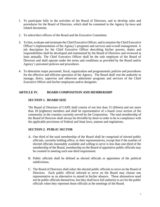- 1. To participate fully in the activities of the Board of Directors, and to develop rules and procedures for the Board of Directors, which shall be contained in the Agency by-laws and related documents.
- 2. To select/elect officers of the Board and the Executive Committee.
- 3. To hire, evaluate and terminate the Chief Executive Officer, and to monitor the Chief Executive Officer's implementation of the Agency's programs and services and overall management. A job description for the Chief Executive Officer describing his/her powers, duties and responsibilities shall be developed and maintained by the Board of Directors and reviewed at least annually. The Chief Executive Officer shall be the sole employee of the Board of Directors and shall operate under the terms and conditions as provided by the Board and/or Agency's personnel policies and procedures.
- 4. To determine major personnel, fiscal, organization and programmatic policies and procedures for the effective and efficient operation of the Agency. The Board shall vest the authority to manage, direct, supervise and otherwise administer programs and services of the Chief Executive Officer and his/her employees and/or designees.

# <span id="page-4-1"></span><span id="page-4-0"></span>**ARTICLE IV. BOARD COMPOSITION AND MEMBERSHIP**

## **SECTION 1. BOARD SIZE**

The Board of Directors of CAPE shall consist of not less than 15 (fifteen) and not more than 18 (eighteen) members and shall be representative of a board cross section of the community in the counties currently served by the Corporation. The total membership of the Board of Directors shall always be divisible by three in order to be in compliance with the applicable provisions of Federal and State laws, statutes and regulations.

# <span id="page-4-2"></span>**SECTION 2. PUBLIC SECTOR**

- A. One third of the total membership of the Board shall be comprised of elected public officials, currently holding office, or their representatives, except that if the number of elected officials reasonably available and willing to serve is less than one-third of the membership of the Board, membership on the Board of appointive public officials may be counted in meeting such one-third requirement.
- B. Public officials shall be defined as elected officials or appointees of the political subdivisions.
- C. The Board of Directors shall select the elected public officials to serve on the Board of Directors. Each public official selected to serve on the Board may choose one representative as an alternative to attend in his/her absence. These alternatives need not be public officials themselves, but they shall have full authority to act for the public officials when they represent those officials at the meetings of the Board.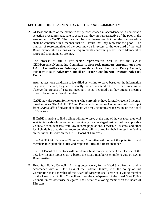#### <span id="page-5-0"></span>**SECTION 3. REPRESENTATION OF THE POOR/COMMUNITY**

A. At least one-third of the members are persons chosen in accordance with democratic selection procedures adequate to assure that they are representative of the poor in the area served by CAPE. They need not be poor themselves, but the selection procedure shall be conducted in a manner that will assure that they represent the poor. The number of representatives of the poor may be in excess of the one-third of the total Board membership as long as the requirements concerning other Board Membership ratios and total numbers are met.

The process to fill a low-income representative seat is for the CAPE CEO/Personnel/Nominating Committee to **first seek members currently on other CAPE Committees or Advisory Councils such as Head Start Policy Council, Minority Health Advisory Council or Foster Grandparent Program Advisory Council.**

After at least one candidate is identified as willing to serve based on the information they have received, they are personally invited to attend a CAPE Board meeting to observe the process of a Board meeting. It is not required that they attend a meeting prior to becoming a Board member.

CAPE may also recruit former clients who currently or have formerly received incomebased services. The CAPE CEO and Personnel/Nominating Committee will seek input from CAPE staff to find a pool of clients who may be interested in serving on the Board of Directors.

If CAPE is unable to find a client willing to serve at the time of the vacancy, they will seek individuals who represent economically disadvantaged residents of the applicable County. School teachers from low-income populations, Township Trustees, and other local charitable organization representatives will be asked for their interest in referring an individual to serve on the CAPE Board of Directors.

The CAPE CEO/Personnel/Nominating Committee will contact the potential Board members to explain the duties and responsibilities of a Board member.

The full Board of Directors will entertain a final motion to accept the election of the new low-income representative before the Board member is eligible to vote on CAPE Board matters.

B. Head Start Policy Council – As the grantee agency for the Head Start Program and in accordance with 45 CFR 1304 of the Federal Statutes, it is the policy of this Corporation that a member of the Board of Directors shall serve as a voting member on the Head Start Policy Council and that the Chairperson of the Head Start Policy Council, unless otherwise delegated, shall serve as a voting member on the Board of Directors.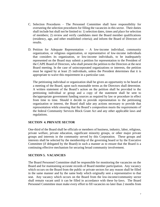- C. Selection Procedures The Personnel Committee shall have responsibility for overseeing the selection procedures for filling the vacancies in this sector. Their duties shall include but shall not be limited to: 1) selection dates, times and place for selection of members; 2) review and verify candidates meet the Board member qualifications (residency, age, and other established criteria); and inform the Board of Directors of results.
- D. Petition for Adequate Representation A low-income individual, community organization, or religious organization, or representative of low-income individuals that considers its organization, or low-income individuals, to be inadequately represented on the Board may submit a petition for representation to the President of the CAPE Board of Directors, who shall present the petition to the Directors at the next Board meeting. In the case of unincorporated organizations or interests, the petition must be signed by at least 25 individuals, unless the President determines that it is appropriate to waive this requirement in a particular case.

The petitioning individual or organization shall be given an opportunity to be heard at a meeting of the Board, upon such reasonable terms as the Directors shall determine. A written statement of the Board's action on the petition shall be provided to the petitioning individual or group and a copy of the statement shall be sent to the/appropriate government funding sources as required by law or procedure in effect from time to time. Should it decide to provide representation to the petitioning organization or interest, the Board shall take any actions necessary to provide that representation while ensuring that the Board's composition meets the requirements of the federal Community Services Block Grant Act and any other applicable laws and regulations.

#### <span id="page-6-0"></span>**SECTION 4. PRIVATE SECTOR**

One-third of the Board shall be officials or members of business, industry, labor, religious, private welfare, private education, significant minority groups, or other major private groups and interests in the community served by this Corporation. These groups and interests shall be selected by the membership of the governing board or by the Executive Committee (if delegated by the Board) in such a manner as to ensure that the Board is a continuing effective mechanism for securing broad community involvement.

# <span id="page-6-1"></span>**SECTION 5. VACANCIES**

The Board Personnel Committee shall be responsible for monitoring the vacancies on the Board and for maintaining accurate records of Board member participation. Any vacancy which occurs on the Board from the public or private sectors for any reason shall be filled in the same manner and by the same body which originally sent a representative to that seat. Any vacancy which occurs on the Board from the low-income/community sector shall remain vacant until it can be filled in accordance with these by-laws. The Board Personnel Committee must make every effort to fill vacancies no later than 2 months from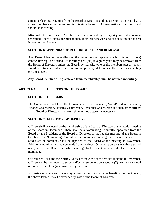a member leaving/resigning from the Board of Directors and must report to the Board why a new member cannot be secured in this time frame. All resignations from the Board should be in writing.

**Misconduct:** Any Board Member may be removed by a majority vote at a regular scheduled Board Meeting for misconduct, unethical behavior, and/or not acting in the best interest of the Agency.

## <span id="page-7-0"></span>**SECTION 6. ATTENDANCE REQUIREMENTS AND REMOVAL**

Any Board Member, regardless of the sector he/she represents who misses 3 (three) consecutive regularly scheduled meetings or 6 (six) in a given year, **may** be removed from the Board of Directors unless the Board, by majority vote of the members present at any Board meeting at which a quorum is present, determines there are extenuating circumstances.

**Any Board member being removed from membership shall be notified in writing.**

# <span id="page-7-2"></span><span id="page-7-1"></span>**ARTICLE V. OFFICERS OF THE BOARD**

## **SECTION 1. OFFICERS**

The Corporation shall have the following officers: President, Vice-President, Secretary, Finance Chairperson, Housing Chairperson, Personnel Chairperson and such other officers as the Board of Directors shall from time to time determine necessary.

#### <span id="page-7-3"></span>**SECTION 2. ELECTION OF OFFICERS**

Officers shall be elected by the membership of the Board of Directors at the regular meeting of the Board in December. There shall be a Nominating Committee appointed from the Board by the President of the Board of Directors at the regular meeting of the Board in October. The Nominating Committee shall nominate one eligible person for each office. Said slate of nominees shall be reported to the Board at the meeting in November. Additional nominations may be made from the floor. Only those persons who have served one year on the Board and who have signified consent to serve, if elected, shall be nominated.

Officers shall assume their official duties at the close of the regular meeting in December. Officers can be nominated to serve and/or can serve two consecutive (2) year terms (a total of no more than four (4) consecutive years served).

For instance, where an officer may possess expertise in an area beneficial to the Agency, the above term(s) may be extended by vote of the Board of Directors.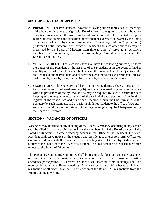## <span id="page-8-0"></span>**SECTION 3. DUTIES OF OFFICERS**

- <span id="page-8-1"></span>**A. PRESIDENT –** The President shall have the following duties: a) preside at all meetings of the Board of Directors; b) sign, with Board approval, any grants, contracts, bonds or other instruments which the governing Board has authorized to be executed, except in cases where the signing and execution thereof shall be expressly delegated by the Board or by these by-laws or by statue to some other officer or agent of the Corporation; c) perform all duties incident to the office of President and such other duties as may be prescribed by the Board of Directors from time to time; d) serve as an ex-officio member of all committees, except the Nominating Committee; and e) chair the Executive Committee.
- <span id="page-8-2"></span>**B. VICE PRESIDENT** – The Vice-President shall have the following duties: a) perform the duties of the President in the absence of the President or in the event of his/her inability or refusal to act; b) he/she shall have all the powers of and be subject to all the restrictions upon the President; and c) perform such other duties and responsibilities as designated by these by-laws, by the President or by the Board of Directors.
- <span id="page-8-3"></span>**C. SECRETARY –** The Secretary shall have the following duties: a) keep, or cause to be kept, the minutes of the Board meetings; b) see that notices are duly given in accordance with the provisions of the by-laws and as may be required by law; c) ensure the safe keeping of the corporate records and of the seal of the Corporation; d) maintain a register of the post office address of each member which shall be furnished to the Secretary by such members; and e) perform all duties incident to the office of Secretary and such other duties as from time to time may be assigned by the Chairperson or by the Board of Directors.

# <span id="page-8-4"></span>**SECTION 4. VACANCIES OF OFFICERS**

Vacancies may be filled at any meeting of the Board. A vacancy occurring in any Office shall be filled for the unexpired term from the membership of the Board by vote of the Board of Directors. In case a vacancy occurs in the Office of the President, the Vice-President shall serve notice of the election and preside at such election. Any Officer (or Committee Member) shall be released from the obligations of Office by his**/**her written request to the President of the Board of Directors. The President can be released by written request to the Board of Directors.

The Personnel/Nominating Committee shall be responsible for monitoring the vacancies on the Board and for maintaining accurate records of Board member meeting attendance/participation. Excessive or unexcused absences from meetings shall be reported bi-monthly at Board meetings. Any vacancy in any office because of death, resignation or otherwise shall be filled by action of the Board. All resignations from the Board shall be in writing.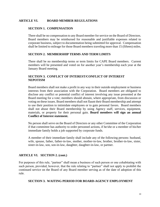#### <span id="page-9-1"></span><span id="page-9-0"></span>**ARTICLE VI. BOARD MEMBER REGULATIONS**

#### **SECTION 1. COMPENSATION**

There shall be no compensation to any Board member for service on the Board of Directors. Board members may be reimbursed for reasonable and justifiable expenses related to corporate business, subject to documentation being submitted for approval. Compensation shall be limited to mileage for those Board members traveling more than 15 (fifteen) miles.

## <span id="page-9-2"></span>**SECTION 2. MEMBERSHIP TERMS AND TERM LIMITS**

There shall be no membership terms or term limits for CAPE Board members. Current members will be presented and voted on for another year's membership each year at the January Board meeting.

## <span id="page-9-3"></span>**SECTION 3. CONFLICT OF INTEREST/CONFLICT OF INTEREST NEPOTISM**

Board members shall not make a profit in any way in their outside employment or business interests from their association with the Corporation. Board members are obligated to disclose any conflict or potential conflict of interest involving any issue presented at the Board meeting for a vote; members should abstain, where appropriate, from discussion or voting on these issues. Board members shall not flaunt their Board membership and attempt to use their position to intimidate employees or to gain personal favors. Board members shall not abuse their Board membership by using Agency staff, services, equipment, materials, or property for their personal gain. **Board members will sign an annual Conflict of Interest statement.**

No person shall serve on the Board of Directors or any other Committee of the Corporation if that committee has authority to order personnel actions, if he/she or a member of his/her immediate family holds a job supported by corporate funds.

A member of their immediate family shall include any of the following persons: husband, wife, spouse, father, father-in-law, mother, mother-in-law, brother, brother-in-law, sister, sister-in-law, son, son-in-law, daughter, daughter-in-law, or partner.

# <span id="page-9-4"></span>**ARTICLE VI. SECTION 2. (cont.)**

For purposes of this rule, "partner" shall mean a business of such person or one cohabitating with such person, provided, however, that the rule relating to "partner" shall not apply to prohibit the continued service on the Board of any Board member serving as of the date of adoption of this rule.

#### <span id="page-9-5"></span>**SECTION 3. WAITING PERIOD FOR BOARD-AGENCY EMPLOYMENT**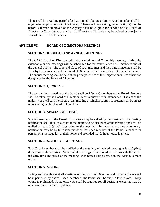There shall be a waiting period of 2 (two) months before a former Board member shall be eligible for employment with the Agency. There shall be a waiting period of 6 (six) months before a former employee of the Agency shall be eligible for service on the Board of Directors or Committees of the Board of Directors. This rule may be waived by a majority vote of the Board of Directors.

# <span id="page-10-1"></span><span id="page-10-0"></span>**ARTICLE VII. BOARD OF DIRECTORS MEETINGS**

# **SECTION 1. REGULAR AND ANNUAL MEETINGS**

The CAPE Board of Directors will hold a minimum of 7 monthly meetings during the calendar year and meetings will be scheduled for the convenience of its members and of the general public. The time and place of such meetings and the Annual meeting shall be fixed by the membership of the Board of Directors at its first meeting of the year in January. The annual meeting shall be held at the principal office of the Corporation unless otherwise designated by the Board of Directors.

# <span id="page-10-2"></span>**SECTION 2. QUORUMS**

The quorum for a meeting of the Board shall be 7 (seven) members of the Board. No vote shall be taken by the Board of Directors unless a quorum is in attendance. The act of the majority of the Board members at any meeting at which a quorum is present shall be an act representing the full Board of Directors.

# <span id="page-10-3"></span>**SECTION 3. SPECIAL MEETINGS**

Special meetings of the Board of Directors may be called by the President. The meeting notification shall include a copy of the matters to be discussed at the meeting and shall be mailed at least 3 (three) days prior to the meeting. In cases of extreme emergency, notification may be by telephone provided that each member of the Board is reached in person, or a message left at their home and provided that 24hour notice is given.

#### <span id="page-10-4"></span>**SECTION 4. NOTICE OF MEETINGS**

Each Board member shall be notified of the regularly scheduled meeting at least 5 (five) days prior to the meeting. Notice of all meetings of the Board of Directors shall include the date, time and place of the meeting, with notice being posted in the Agency's main office.

#### <span id="page-10-5"></span>**SECTION 5. VOTING**

Voting and attendance at all meetings of the Board of Directors and its committees shall be in person or by phone. Each member of the Board shall be entitled to one vote. Proxy voting is prohibited. A majority vote shall be required for all decisions except as may be otherwise stated in these by-laws.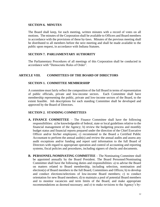#### <span id="page-11-0"></span>**SECTION 6. MINUTES**

The Board shall keep, for each meeting, written minutes with a record of votes on all motions. The minutes of the Corporation shall be available to Officers and Board members in accordance with the provisions of these by-laws. Minutes of the previous meeting shall be distributed to all members before the next meeting and shall be made available to the public upon request, in accordance with Indiana Statutes.

## <span id="page-11-1"></span>**SECTION 7. PARLIAMENTARY AUTHORITY**

The Parliamentary Procedures of all meetings of this Corporation shall be conducted in accordance with "Democratic Rules of Order".

## <span id="page-11-3"></span><span id="page-11-2"></span>**ARTICLE VIII. COMMITTEES OF THE BOARD OF DIRECTORS**

#### **SECTION 1. COMMITTEE MEMBERSHIP**

A committee must fairly reflect the composition of the full Board in terms of representation of public officials, private and low-income sectors. Each Committee shall have membership representing the public, private and low-income sectors of the Board, to the extent feasible. Job descriptions for each standing Committee shall be developed and approved by the Board of Directors.

#### <span id="page-11-4"></span>**SECTION 2. STANDING COMMITTEES**

- **A. FINANCE COMMITTEE** The Finance Committee shall have the following responsibilities: a) be knowledgeable of federal, state or local guidelines relative to the financial management of the Agency; b) review the budgeting process and monthly budget status and financial reports prepared under the direction of the Chief Executive Officer and/or his/her employees; c) recommend to the Board a Certified Public Accountant to perform the annual audit(s) and review the annual audits and assess any audit exceptions and/or funding and report said information to the full Board of Directors with regard to appropriate operation and control of accounting and reporting systems, fiscal policies and procedures, including signers of checks and documents.
- **B. PERSONNEL/NOMINATING COMMITTEE** The Nominating Committee shall be appointed annually by the Board President. The Board Personnel/Nominating Committee shall have the following duties and responsibilities: a) to advise the Board on matters related to Board membership, including selection, nomination and election(s) of Board members to the full Board, Committees and Offices; b) to develop and conduct elections/selections of low-income Board members; c) to conduct orientation for new Board members; d) to maintain a pool of potential Board members and to monitor vacancies and term limits of the Board, and make appropriate recommendations as deemed necessary; and e) to make revisions to the Agency's by-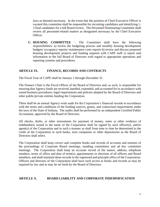laws as deemed necessary. In the event that the position of Chief Executive Officer is vacated this committee shall be responsible for recruiting candidates and identifying 1- 3 final candidates for a full Board review. The Personnel/Nominating Committee shall review all personnel-related matters as designated necessary by the Chief Executive Officer.

**C. HOUSING COMMITTEE** – The Committee shall have the following responsibilities: a) review the budgeting process and monthly housing development budgets/ occupancy reports/ maintenance costs reports b) review and discuss proposed housing development projects and funding requests with CAPE staff c) report said information to the full Board of Directors with regard to appropriate operations and reporting systems and procedures.

# <span id="page-12-0"></span>**ARTICLE IX. FINANCE, RECORDS AND CONTRACTS**

The Fiscal Year of CAPE shall be January 1 through December 31.

The Finance Chair is the Fiscal Officer of the Board of Directors and, as such, is responsible for ensuring that Agency funds are received, handled, expended, and accounted for in accordance with sound business procedures, legal requirements and policies adopted by the Board of Directors and other public/private entities funding the Corporation.

There shall be an annual Agency-wide audit for the Corporation's financial records in accordance with the terms and conditions of the funding sources, grants, and contractual requirements under the laws of the State of Indiana. The audits shall be performed by an independent Certified Public Accountant, approved by the Board of Directors.

All checks, drafts, or other instruments for payment of money, notes or other evidence of indebtedness issued in the name of the Corporation shall be signed by such officer(s), and/or agent(s) of the Corporation and in such a manner as shall from time to time be determined to the credit of the Corporation in such banks, trust companies or other depositories as the Board of Directors shall select.

The Corporation shall keep correct and complete books and records of accounts and minutes of the proceedings of Corporate Board meetings, standing committees and ad hoc committee meetings. The Corporation shall keep an accurate record of the names, address, telephone numbers, terms of office and date of term(s), appointments or elections of all officers and Board members, and shall maintain these records in the registered and principle office of the Corporation. Officers and directors of the Corporation shall have such access to books and records as may be required by law and as may be set forth by the Board of Directors.

# <span id="page-12-1"></span>**ARTICLE X. BOARD LIABILITY AND CORPORATE INDEMNIFICATION**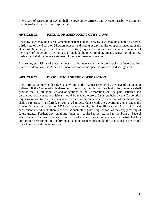The Board of Directors of CAPE shall be covered by Officers and Directors Liability Insurance maintained and paid by the Corporation.

# <span id="page-13-0"></span>**ARTICLE XI. REPEAL OR AMENDMENT OF BY-LAWS**

These by-laws may be altered, amended or repealed and new by-laws may be adopted by a twothirds vote of the Board of Directors present and voting at any regular or special meeting of the Board of Directors, provided that at least 10 (ten) days written notice is given to each member of the Board of Directors. The notice shall include the intent to alter, amend, repeal, or adopt new by-laws and shall include a statement of the recommended changes.

In case any provisions of these by-laws shall be inconsistent with the Articles of Incorporation, State or Federal law, the Articles of Incorporation or the specific law involved will govern.

# <span id="page-13-1"></span>**ARTICLE XII. DISSOLUTION OF THE CORPORATION**

The Corporation may be dissolved at any time in the manner provided by the laws of the State of Indiana. If the Corporation is dissolved voluntarily, the plan of distribution for the assets shall provide that: 1) all liabilities and obligations of the Corporation shall be paid, satisfied and discharged or adequate provisions should be made therefore; 2) assets held by the Corporation requiring return, transfer or conveyance, which condition occurs by the reason of the dissolution, shall be returned, transferred, or conveyed in accordance with the governing grants under the Economic Opportunity Act of 1964 and the Community Services Block Grant Act of 1981, and subsequent amendments thereto as well as such other governing sections as may apply exiting of future grants. Further, any remaining funds not required to be returned to the State or Federal government, local governments, or agencies of any such governments, shall be distributed to a corporation or corporations qualifying as exempt organizations under the provisions of the United State International Revenue Code.